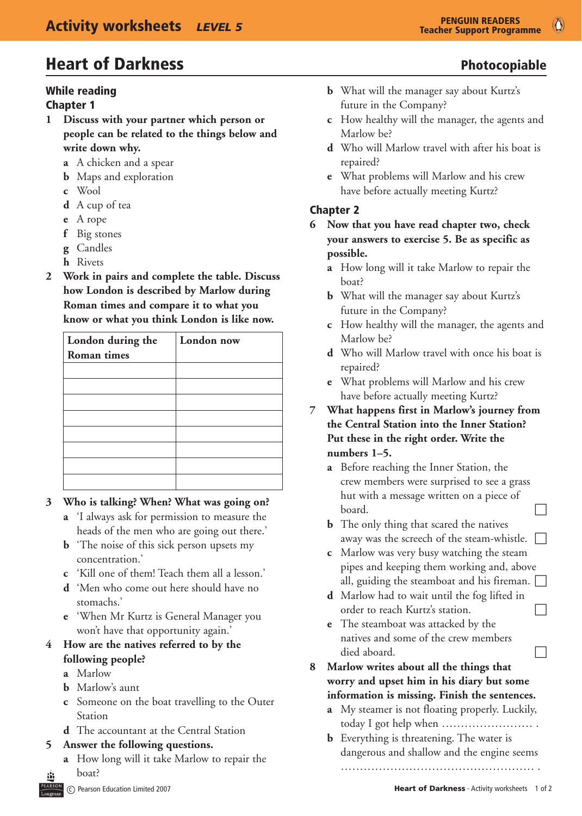#### While reading

#### Chapter 1

- **1 Discuss with your partner which person or people can be related to the things below and write down why.**
	- **a** A chicken and a spear
	- **b** Maps and exploration
	- **c** Wool
	- **d** A cup of tea
	- **e** A rope
	- **f** Big stones
	- **g** Candles
	- **h** Rivets
- **2 Work in pairs and complete the table. Discuss how London is described by Marlow during Roman times and compare it to what you know or what you think London is like now.**

| London during the | London now |
|-------------------|------------|
| Roman times       |            |
|                   |            |
|                   |            |
|                   |            |
|                   |            |
|                   |            |
|                   |            |
|                   |            |
|                   |            |

#### **3 Who is talking? When? What was going on?**

- **a** 'I always ask for permission to measure the heads of the men who are going out there.'
- **b** 'The noise of this sick person upsets my concentration.'
- **c** 'Kill one of them! Teach them all a lesson.'
- **d** 'Men who come out here should have no stomachs.'
- **e** 'When Mr Kurtz is General Manager you won't have that opportunity again.'

#### **4 How are the natives referred to by the following people?**

- **a** Marlow
- **b** Marlow's aunt
- **c** Someone on the boat travelling to the Outer Station
- **d** The accountant at the Central Station

#### **5 Answer the following questions.**

**a** How long will it take Marlow to repair the boat?

- 
- **b** What will the manager say about Kurtz's future in the Company?
- **c** How healthy will the manager, the agents and Marlow be?
- **d** Who will Marlow travel with after his boat is repaired?
- **e** What problems will Marlow and his crew have before actually meeting Kurtz?

#### Chapter 2

- **6 Now that you have read chapter two, check your answers to exercise 5. Be as specific as possible.**
	- **a** How long will it take Marlow to repair the boat?
	- **b** What will the manager say about Kurtz's future in the Company?
	- **c** How healthy will the manager, the agents and Marlow be?
	- **d** Who will Marlow travel with once his boat is repaired?
	- **e** What problems will Marlow and his crew have before actually meeting Kurtz?
- **7 What happens first in Marlow's journey from the Central Station into the Inner Station? Put these in the right order. Write the numbers 1–5.**
	- **a** Before reaching the Inner Station, the crew members were surprised to see a grass hut with a message written on a piece of  $\Box$
	- **b** The only thing that scared the natives away was the screech of the steam-whistle.  $\Box$
	- **c** Marlow was very busy watching the steam pipes and keeping them working and, above all, guiding the steamboat and his fireman.  $\Box$
	- **d** Marlow had to wait until the fog lifted in order to reach Kurtz's station.
	- **e** The steamboat was attacked by the natives and some of the crew members  $\Box$  died aboard.
- **8 Marlow writes about all the things that worry and upset him in his diary but some information is missing. Finish the sentences.**
	- **a** My steamer is not floating properly. Luckily, today I got help when …………………… .
	- **b** Everything is threatening. The water is dangerous and shallow and the engine seems
		- …………………………………………… .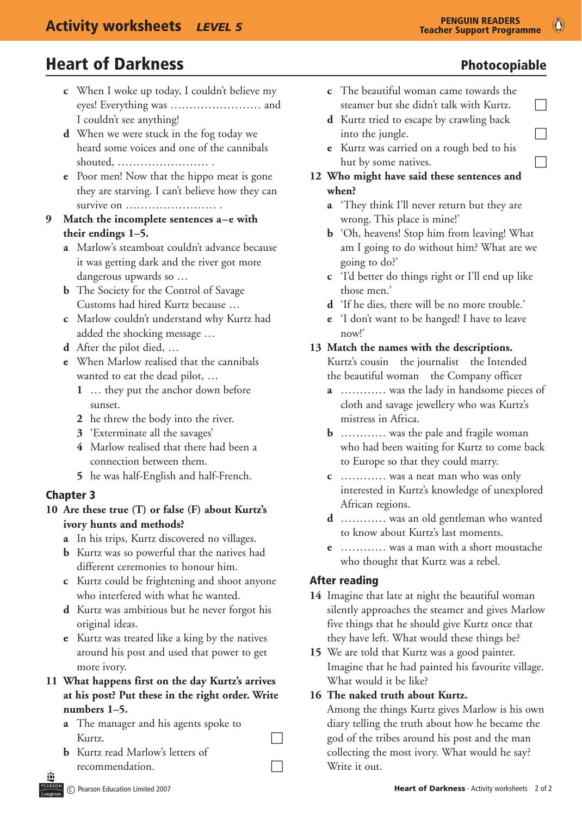- **c** When I woke up today, I couldn't believe my eyes! Everything was …………………… and I couldn't see anything!
- **d** When we were stuck in the fog today we heard some voices and one of the cannibals shouted, …………………… .
- **e** Poor men! Now that the hippo meat is gone they are starving. I can't believe how they can survive on …………………… .

#### **9 Match the incomplete sentences a–e with their endings 1–5.**

- **a** Marlow's steamboat couldn't advance because it was getting dark and the river got more dangerous upwards so …
- **b** The Society for the Control of Savage Customs had hired Kurtz because …
- **c** Marlow couldn't understand why Kurtz had added the shocking message …
- **d** After the pilot died, …
- **e** When Marlow realised that the cannibals wanted to eat the dead pilot, …
	- **1** … they put the anchor down before sunset.
	- **2** he threw the body into the river.
	- **3** 'Exterminate all the savages'
	- **4** Marlow realised that there had been a connection between them.
	- **5** he was half-English and half-French.

#### Chapter 3

#### **10 Are these true (T) or false (F) about Kurtz's ivory hunts and methods?**

- **a** In his trips, Kurtz discovered no villages.
- **b** Kurtz was so powerful that the natives had different ceremonies to honour him.
- **c** Kurtz could be frightening and shoot anyone who interfered with what he wanted.
- **d** Kurtz was ambitious but he never forgot his original ideas.
- **e** Kurtz was treated like a king by the natives around his post and used that power to get more ivory.
- **11 What happens first on the day Kurtz's arrives at his post? Put these in the right order. Write numbers 1–5.**
	- **a** The manager and his agents spoke to Kurtz.
	- **b** Kurtz read Marlow's letters of  $r$ ecommendation.
- **c** The beautiful woman came towards the steamer but she didn't talk with Kurtz.  $\Box$
- **d** Kurtz tried to escape by crawling back into the jungle.  $\Box$
- **e** Kurtz was carried on a rough bed to his hut by some natives.  $\Box$
- **12 Who might have said these sentences and when?**
	- **a** 'They think I'll never return but they are wrong. This place is mine!'
	- **b** 'Oh, heavens! Stop him from leaving! What am I going to do without him? What are we going to do?'
	- **c** 'I'd better do things right or I'll end up like those men.'
	- **d** 'If he dies, there will be no more trouble.'
	- **e** 'I don't want to be hanged! I have to leave now!'

#### **13 Match the names with the descriptions.**

 Kurtz's cousin the journalist the Intended the beautiful woman the Company officer

- **a** ………… was the lady in handsome pieces of cloth and savage jewellery who was Kurtz's mistress in Africa.
- **b** ………… was the pale and fragile woman who had been waiting for Kurtz to come back to Europe so that they could marry.
- **c** ………… was a neat man who was only interested in Kurtz's knowledge of unexplored African regions.
- **d** ………… was an old gentleman who wanted to know about Kurtz's last moments.
- **e** ………… was a man with a short moustache who thought that Kurtz was a rebel.

#### After reading

- **14**  Imagine that late at night the beautiful woman silently approaches the steamer and gives Marlow five things that he should give Kurtz once that they have left. What would these things be?
- **15** We are told that Kurtz was a good painter. Imagine that he had painted his favourite village. What would it be like?

#### **16 The naked truth about Kurtz.**

 Among the things Kurtz gives Marlow is his own diary telling the truth about how he became the god of the tribes around his post and the man collecting the most ivory. What would he say? Write it out.

Ő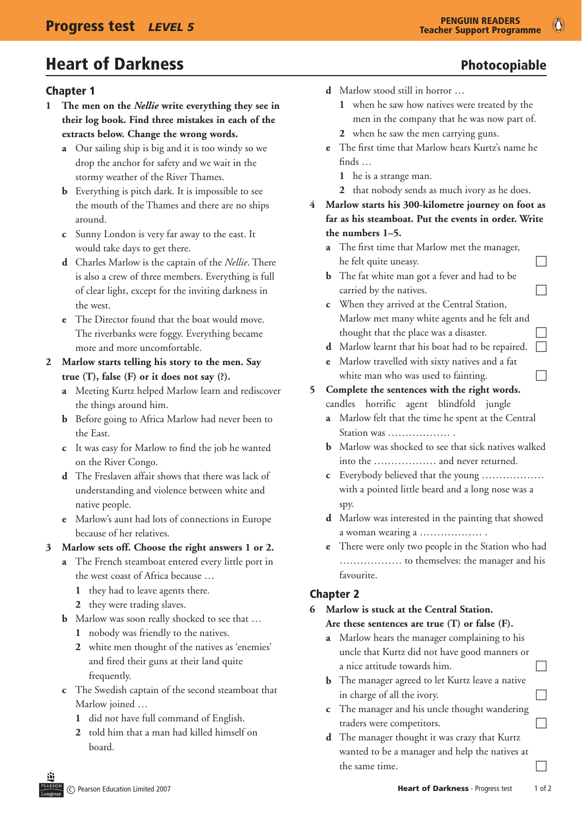#### Chapter 1

- **1 The men on the** *Nellie* **write everything they see in their log book. Find three mistakes in each of the extracts below. Change the wrong words.**
	- **a** Our sailing ship is big and it is too windy so we drop the anchor for safety and we wait in the stormy weather of the River Thames.
	- **b** Everything is pitch dark. It is impossible to see the mouth of the Thames and there are no ships around.
	- **c** Sunny London is very far away to the east. It would take days to get there.
	- **d** Charles Marlow is the captain of the *Nellie*. There is also a crew of three members. Everything is full of clear light, except for the inviting darkness in the west.
	- **e** The Director found that the boat would move. The riverbanks were foggy. Everything became more and more uncomfortable.
- **2 Marlow starts telling his story to the men. Say true (T), false (F) or it does not say (?).**
	- **a** Meeting Kurtz helped Marlow learn and rediscover the things around him.
	- **b** Before going to Africa Marlow had never been to the East.
	- **c** It was easy for Marlow to find the job he wanted on the River Congo.
	- **d** The Freslaven affair shows that there was lack of understanding and violence between white and native people.
	- **e** Marlow's aunt had lots of connections in Europe because of her relatives.

#### **3 Marlow sets off. Choose the right answers 1 or 2.**

- **a** The French steamboat entered every little port in the west coast of Africa because …
	- **1** they had to leave agents there.
	- **2** they were trading slaves.
- **b** Marlow was soon really shocked to see that ...
	- **1** nobody was friendly to the natives.
	- **2** white men thought of the natives as 'enemies' and fired their guns at their land quite frequently.
- **c** The Swedish captain of the second steamboat that Marlow joined …
	- **1** did not have full command of English.
	- **2** told him that a man had killed himself on board.
- 
- **d** Marlow stood still in horror …
	- **1** when he saw how natives were treated by the men in the company that he was now part of.
	- **2** when he saw the men carrying guns.
- **e** The first time that Marlow hears Kurtz's name he finds …
	- **1** he is a strange man.
	- **2** that nobody sends as much ivory as he does.
- **4 Marlow starts his 300-kilometre journey on foot as far as his steamboat. Put the events in order. Write the numbers 1–5.**
	- **a** The first time that Marlow met the manager,  $h$ e felt quite uneasy.
	- **b** The fat white man got a fever and had to be carried by the natives.  $\Box$
	- **c** When they arrived at the Central Station, Marlow met many white agents and he felt and thought that the place was a disaster.
	- **d** Marlow learnt that his boat had to be repaired.
	- **e** Marlow travelled with sixty natives and a fat white man who was used to fainting.  $\Box$

### **5 Complete the sentences with the right words.**

- candles horrific agent blindfold jungle **a** Marlow felt that the time he spent at the Central
- Station was ……………… .
- **b** Marlow was shocked to see that sick natives walked into the ……………… and never returned.
- **c** Everybody believed that the young ……………… with a pointed little beard and a long nose was a spy.
- **d** Marlow was interested in the painting that showed a woman wearing a ……………… .
- **e** There were only two people in the Station who had ……………… to themselves: the manager and his favourite.

#### Chapter 2

#### **6 Marlow is stuck at the Central Station. Are these sentences are true (T) or false (F).**

- **a** Marlow hears the manager complaining to his
- uncle that Kurtz did not have good manners or a nice attitude towards him.
- **b** The manager agreed to let Kurtz leave a native in charge of all the ivory.
- **c** The manager and his uncle thought wandering  $traders were competitors.$
- **d** The manager thought it was crazy that Kurtz wanted to be a manager and help the natives at the same time.  $\Box$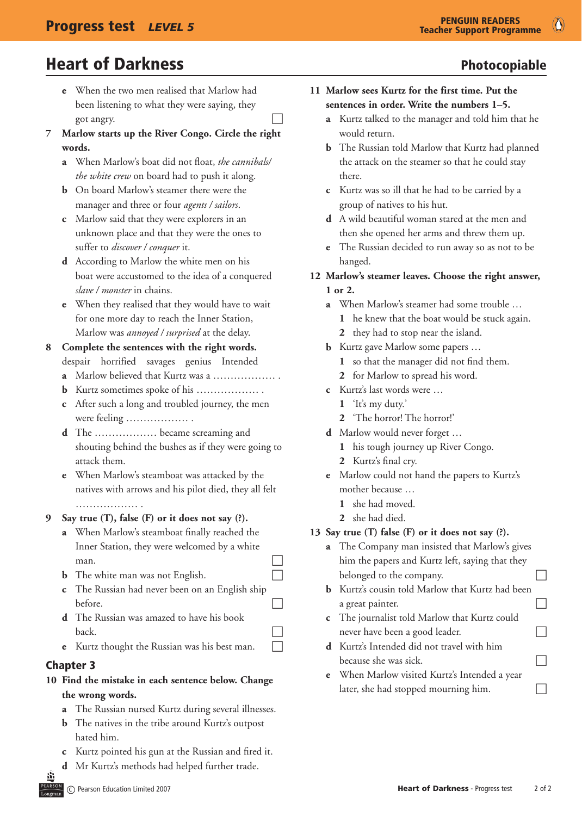- **e** When the two men realised that Marlow had been listening to what they were saying, they  $\log$  angry.
- **7 Marlow starts up the River Congo. Circle the right words.**
	- **a** When Marlow's boat did not float, *the cannibals/ the white crew* on board had to push it along.
	- **b** On board Marlow's steamer there were the manager and three or four *agents / sailors*.
	- **c** Marlow said that they were explorers in an unknown place and that they were the ones to suffer to *discover / conquer* it.
	- **d** According to Marlow the white men on his boat were accustomed to the idea of a conquered *slave / monster* in chains.
	- **e** When they realised that they would have to wait for one more day to reach the Inner Station, Marlow was *annoyed / surprised* at the delay.
- **8 Complete the sentences with the right words.** despair horrified savages genius Intended
	- **a** Marlow believed that Kurtz was a ……………… .
	- **b** Kurtz sometimes spoke of his ……………… .
	- **c** After such a long and troubled journey, the men were feeling ……………… .
	- **d** The ……………… became screaming and shouting behind the bushes as if they were going to attack them.
	- **e** When Marlow's steamboat was attacked by the natives with arrows and his pilot died, they all felt ………………………
- **9 Say true (T), false (F) or it does not say (?).**
	- **a** When Marlow's steamboat finally reached the Inner Station, they were welcomed by a white  $\Box$  contrared to  $\Box$
	- **b** The white man was not English.
	- **c** The Russian had never been on an English ship before.
	- **d** The Russian was amazed to have his book  $\Gamma$
	- **e** Kurtz thought the Russian was his best man.

### Chapter 3

- **10 Find the mistake in each sentence below. Change the wrong words.**
	- **a** The Russian nursed Kurtz during several illnesses.
	- **b** The natives in the tribe around Kurtz's outpost hated him.
	- **c** Kurtz pointed his gun at the Russian and fired it.
	- **d** Mr Kurtz's methods had helped further trade.
- 
- **11 Marlow sees Kurtz for the first time. Put the sentences in order. Write the numbers 1–5.**
	- **a** Kurtz talked to the manager and told him that he would return.
	- **b** The Russian told Marlow that Kurtz had planned the attack on the steamer so that he could stay there.
	- **c** Kurtz was so ill that he had to be carried by a group of natives to his hut.
	- **d** A wild beautiful woman stared at the men and then she opened her arms and threw them up.
	- **e** The Russian decided to run away so as not to be hanged.
- **12 Marlow's steamer leaves. Choose the right answer, 1 or 2.**
	- **a** When Marlow's steamer had some trouble …
		- **1** he knew that the boat would be stuck again.
		- **2** they had to stop near the island.
	- **b** Kurtz gave Marlow some papers ...
		- **1** so that the manager did not find them.
		- **2** for Marlow to spread his word.
	- **c** Kurtz's last words were …
		- **1** 'It's my duty.'
		- **2** 'The horror! The horror!'
	- **d** Marlow would never forget …
		- **1** his tough journey up River Congo.
		- **2** Kurtz's final cry.
	- **e** Marlow could not hand the papers to Kurtz's mother because …
		- **1** she had moved.
		- **2** she had died.

#### **13 Say true (T) false (F) or it does not say (?).**

- **a** The Company man insisted that Marlow's gives him the papers and Kurtz left, saying that they belonged to the company.
- **b** Kurtz's cousin told Marlow that Kurtz had been a great painter.
- **c** The journalist told Marlow that Kurtz could never have been a good leader.  $\Box$
- **d** Kurtz's Intended did not travel with him because she was sick.  $\Box$
- **e** When Marlow visited Kurtz's Intended a year later, she had stopped mourning him.  $\Box$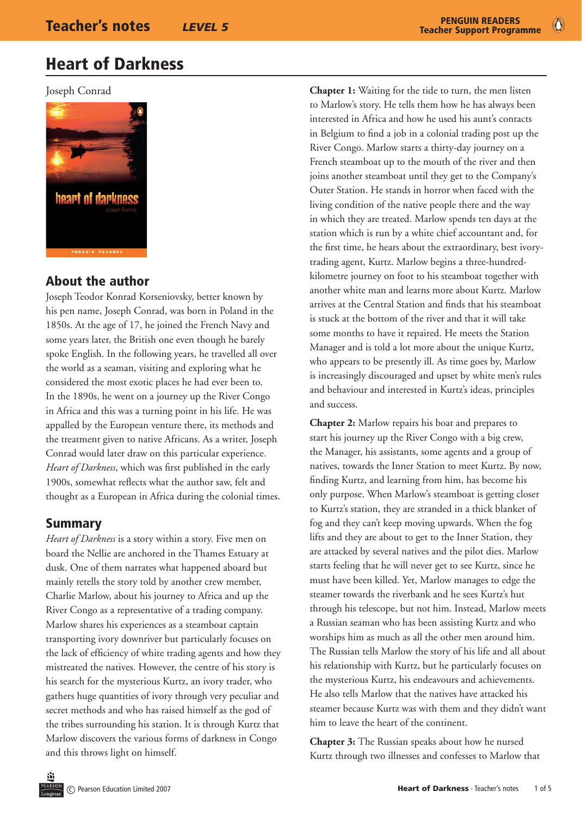$\bullet$ 

## Heart of Darkness

Joseph Conrad



### About the author

Joseph Teodor Konrad Korseniovsky, better known by his pen name, Joseph Conrad, was born in Poland in the 1850s. At the age of 17, he joined the French Navy and some years later, the British one even though he barely spoke English. In the following years, he travelled all over the world as a seaman, visiting and exploring what he considered the most exotic places he had ever been to. In the 1890s, he went on a journey up the River Congo in Africa and this was a turning point in his life. He was appalled by the European venture there, its methods and the treatment given to native Africans. As a writer, Joseph Conrad would later draw on this particular experience. *Heart of Darkness*, which was first published in the early 1900s, somewhat reflects what the author saw, felt and thought as a European in Africa during the colonial times.

#### Summary

*Heart of Darkness* is a story within a story. Five men on board the Nellie are anchored in the Thames Estuary at dusk. One of them narrates what happened aboard but mainly retells the story told by another crew member, Charlie Marlow, about his journey to Africa and up the River Congo as a representative of a trading company. Marlow shares his experiences as a steamboat captain transporting ivory downriver but particularly focuses on the lack of efficiency of white trading agents and how they mistreated the natives. However, the centre of his story is his search for the mysterious Kurtz, an ivory trader, who gathers huge quantities of ivory through very peculiar and secret methods and who has raised himself as the god of the tribes surrounding his station. It is through Kurtz that Marlow discovers the various forms of darkness in Congo and this throws light on himself.

**Chapter 1:** Waiting for the tide to turn, the men listen to Marlow's story. He tells them how he has always been interested in Africa and how he used his aunt's contacts in Belgium to find a job in a colonial trading post up the River Congo. Marlow starts a thirty-day journey on a French steamboat up to the mouth of the river and then joins another steamboat until they get to the Company's Outer Station. He stands in horror when faced with the living condition of the native people there and the way in which they are treated. Marlow spends ten days at the station which is run by a white chief accountant and, for the first time, he hears about the extraordinary, best ivorytrading agent, Kurtz. Marlow begins a three-hundredkilometre journey on foot to his steamboat together with another white man and learns more about Kurtz. Marlow arrives at the Central Station and finds that his steamboat is stuck at the bottom of the river and that it will take some months to have it repaired. He meets the Station Manager and is told a lot more about the unique Kurtz, who appears to be presently ill. As time goes by, Marlow is increasingly discouraged and upset by white men's rules and behaviour and interested in Kurtz's ideas, principles and success.

**Chapter 2:** Marlow repairs his boat and prepares to start his journey up the River Congo with a big crew, the Manager, his assistants, some agents and a group of natives, towards the Inner Station to meet Kurtz. By now, finding Kurtz, and learning from him, has become his only purpose. When Marlow's steamboat is getting closer to Kurtz's station, they are stranded in a thick blanket of fog and they can't keep moving upwards. When the fog lifts and they are about to get to the Inner Station, they are attacked by several natives and the pilot dies. Marlow starts feeling that he will never get to see Kurtz, since he must have been killed. Yet, Marlow manages to edge the steamer towards the riverbank and he sees Kurtz's hut through his telescope, but not him. Instead, Marlow meets a Russian seaman who has been assisting Kurtz and who worships him as much as all the other men around him. The Russian tells Marlow the story of his life and all about his relationship with Kurtz, but he particularly focuses on the mysterious Kurtz, his endeavours and achievements. He also tells Marlow that the natives have attacked his steamer because Kurtz was with them and they didn't want him to leave the heart of the continent.

**Chapter 3:** The Russian speaks about how he nursed Kurtz through two illnesses and confesses to Marlow that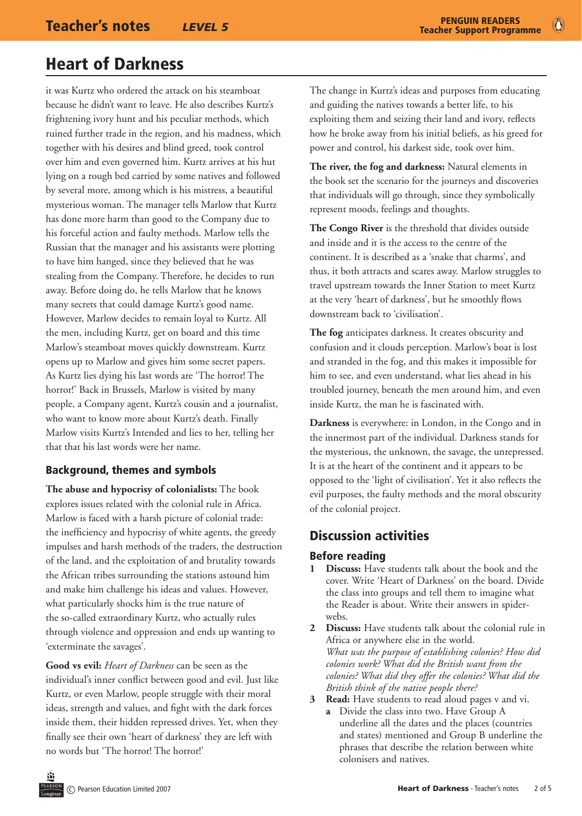it was Kurtz who ordered the attack on his steamboat because he didn't want to leave. He also describes Kurtz's frightening ivory hunt and his peculiar methods, which ruined further trade in the region, and his madness, which together with his desires and blind greed, took control over him and even governed him. Kurtz arrives at his hut lying on a rough bed carried by some natives and followed by several more, among which is his mistress, a beautiful mysterious woman. The manager tells Marlow that Kurtz has done more harm than good to the Company due to his forceful action and faulty methods. Marlow tells the Russian that the manager and his assistants were plotting to have him hanged, since they believed that he was stealing from the Company. Therefore, he decides to run away. Before doing do, he tells Marlow that he knows many secrets that could damage Kurtz's good name. However, Marlow decides to remain loyal to Kurtz. All the men, including Kurtz, get on board and this time Marlow's steamboat moves quickly downstream. Kurtz opens up to Marlow and gives him some secret papers. As Kurtz lies dying his last words are 'The horror! The horror!' Back in Brussels, Marlow is visited by many people, a Company agent, Kurtz's cousin and a journalist, who want to know more about Kurtz's death. Finally Marlow visits Kurtz's Intended and lies to her, telling her that that his last words were her name.

#### Background, themes and symbols

**The abuse and hypocrisy of colonialists:** The book explores issues related with the colonial rule in Africa. Marlow is faced with a harsh picture of colonial trade: the inefficiency and hypocrisy of white agents, the greedy impulses and harsh methods of the traders, the destruction of the land, and the exploitation of and brutality towards the African tribes surrounding the stations astound him and make him challenge his ideas and values. However, what particularly shocks him is the true nature of the so-called extraordinary Kurtz, who actually rules through violence and oppression and ends up wanting to 'exterminate the savages'.

**Good vs evil:** *Heart of Darkness* can be seen as the individual's inner conflict between good and evil. Just like Kurtz, or even Marlow, people struggle with their moral ideas, strength and values, and fight with the dark forces inside them, their hidden repressed drives. Yet, when they finally see their own 'heart of darkness' they are left with no words but 'The horror! The horror!'

The change in Kurtz's ideas and purposes from educating and guiding the natives towards a better life, to his exploiting them and seizing their land and ivory, reflects how he broke away from his initial beliefs, as his greed for power and control, his darkest side, took over him.

**The river, the fog and darkness:** Natural elements in the book set the scenario for the journeys and discoveries that individuals will go through, since they symbolically represent moods, feelings and thoughts.

**The Congo River** is the threshold that divides outside and inside and it is the access to the centre of the continent. It is described as a 'snake that charms', and thus, it both attracts and scares away. Marlow struggles to travel upstream towards the Inner Station to meet Kurtz at the very 'heart of darkness', but he smoothly flows downstream back to 'civilisation'.

**The fog** anticipates darkness. It creates obscurity and confusion and it clouds perception. Marlow's boat is lost and stranded in the fog, and this makes it impossible for him to see, and even understand, what lies ahead in his troubled journey, beneath the men around him, and even inside Kurtz, the man he is fascinated with.

**Darkness** is everywhere: in London, in the Congo and in the innermost part of the individual. Darkness stands for the mysterious, the unknown, the savage, the unrepressed. It is at the heart of the continent and it appears to be opposed to the 'light of civilisation'. Yet it also reflects the evil purposes, the faulty methods and the moral obscurity of the colonial project.

### Discussion activities

#### Before reading

- **1 Discuss:** Have students talk about the book and the cover. Write 'Heart of Darkness' on the board. Divide the class into groups and tell them to imagine what the Reader is about. Write their answers in spiderwebs.
- **2 Discuss:** Have students talk about the colonial rule in Africa or anywhere else in the world. *What was the purpose of establishing colonies? How did colonies work? What did the British want from the colonies? What did they offer the colonies? What did the British think of the native people there?*
- **3 Read:** Have students to read aloud pages v and vi.
	- **a** Divide the class into two. Have Group A underline all the dates and the places (countries and states) mentioned and Group B underline the phrases that describe the relation between white colonisers and natives.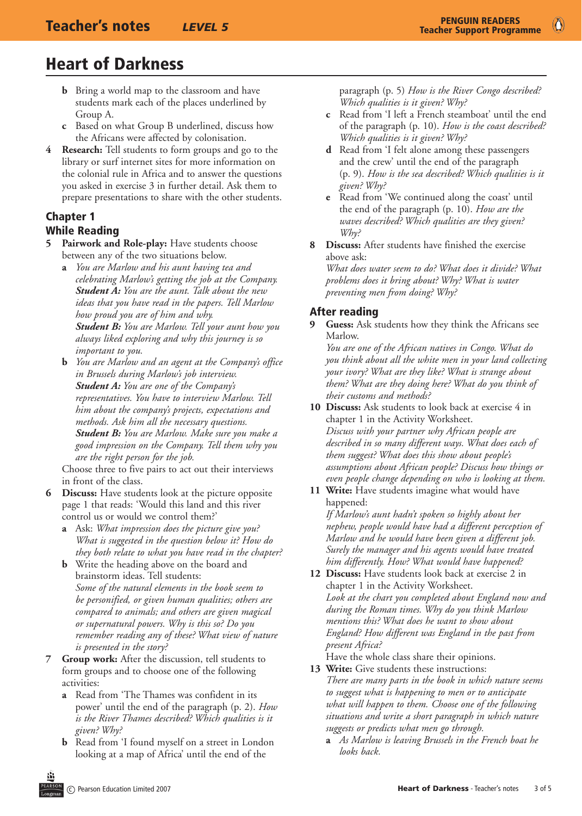- **b** Bring a world map to the classroom and have students mark each of the places underlined by Group A.
- **c** Based on what Group B underlined, discuss how the Africans were affected by colonisation.
- **4 Research:** Tell students to form groups and go to the library or surf internet sites for more information on the colonial rule in Africa and to answer the questions you asked in exercise 3 in further detail. Ask them to prepare presentations to share with the other students.

#### Chapter 1 While Reading

- Pairwork and Role-play: Have students choose between any of the two situations below.
	- **a** *You are Marlow and his aunt having tea and celebrating Marlow's getting the job at the Company. Student A: You are the aunt. Talk about the new ideas that you have read in the papers. Tell Marlow how proud you are of him and why. Student B: You are Marlow. Tell your aunt how you always liked exploring and why this journey is so important to you.*
	- **b** *You are Marlow and an agent at the Company's office in Brussels during Marlow's job interview. Student A: You are one of the Company's representatives. You have to interview Marlow. Tell him about the company's projects, expectations and methods. Ask him all the necessary questions. Student B: You are Marlow. Make sure you make a good impression on the Company. Tell them why you are the right person for the job.*

Choose three to five pairs to act out their interviews in front of the class.

- **6 Discuss:** Have students look at the picture opposite page 1 that reads: 'Would this land and this river control us or would we control them?'
	- **a** Ask: *What impression does the picture give you? What is suggested in the question below it? How do they both relate to what you have read in the chapter?*
	- **b** Write the heading above on the board and brainstorm ideas. Tell students: *Some of the natural elements in the book seem to be personified, or given human qualities; others are compared to animals; and others are given magical or supernatural powers. Why is this so? Do you remember reading any of these? What view of nature is presented in the story?*
- **7 Group work:** After the discussion, tell students to form groups and to choose one of the following activities:
	- **a** Read from 'The Thames was confident in its power' until the end of the paragraph (p. 2). *How is the River Thames described? Which qualities is it given? Why?*
	- **b** Read from 'I found myself on a street in London looking at a map of Africa' until the end of the

paragraph (p. 5) *How is the River Congo described? Which qualities is it given? Why?*

- **c** Read from 'I left a French steamboat' until the end of the paragraph (p. 10). *How is the coast described? Which qualities is it given? Why?*
- **d** Read from 'I felt alone among these passengers and the crew' until the end of the paragraph (p. 9). *How is the sea described? Which qualities is it given? Why?*
- **e** Read from 'We continued along the coast' until the end of the paragraph (p. 10). *How are the waves described? Which qualities are they given? Why?*
- **8 Discuss:** After students have finished the exercise above ask:

*What does water seem to do? What does it divide? What problems does it bring about? Why? What is water preventing men from doing? Why?*

### After reading

**9 Guess:** Ask students how they think the Africans see Marlow.

*You are one of the African natives in Congo. What do you think about all the white men in your land collecting your ivory? What are they like? What is strange about them? What are they doing here? What do you think of their customs and methods?* 

**10 Discuss:** Ask students to look back at exercise 4 in chapter 1 in the Activity Worksheet. *Discuss with your partner why African people are described in so many different ways. What does each of them suggest? What does this show about people's assumptions about African people? Discuss how things or even people change depending on who is looking at them.*

**11 Write:** Have students imagine what would have happened:

*If Marlow's aunt hadn't spoken so highly about her nephew, people would have had a different perception of Marlow and he would have been given a different job. Surely the manager and his agents would have treated him differently. How? What would have happened?*

**12 Discuss:** Have students look back at exercise 2 in chapter 1 in the Activity Worksheet. *Look at the chart you completed about England now and during the Roman times. Why do you think Marlow mentions this? What does he want to show about England? How different was England in the past from present Africa?* 

Have the whole class share their opinions.

- **13 Write:** Give students these instructions: *There are many parts in the book in which nature seems to suggest what is happening to men or to anticipate what will happen to them. Choose one of the following situations and write a short paragraph in which nature suggests or predicts what men go through.* 
	- **a** *As Marlow is leaving Brussels in the French boat he looks back.*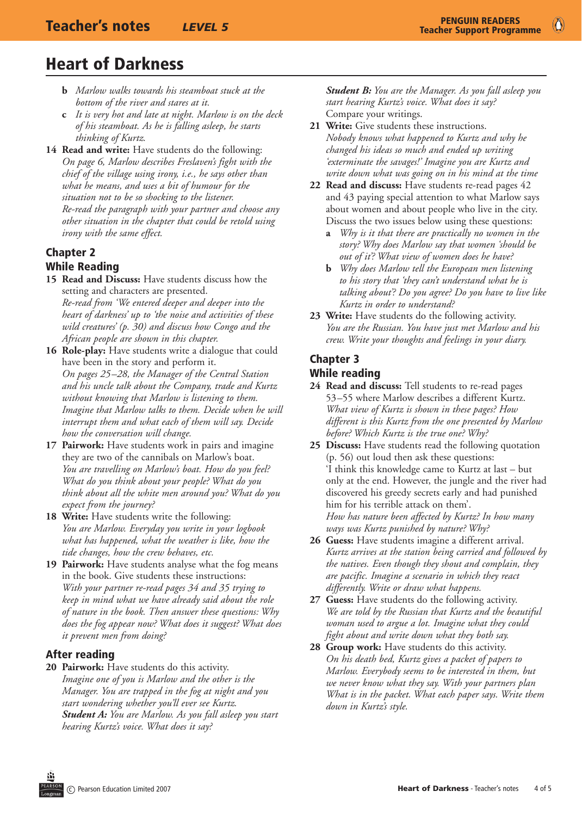- **b** *Marlow walks towards his steamboat stuck at the bottom of the river and stares at it.*
- **c** *It is very hot and late at night. Marlow is on the deck of his steamboat. As he is falling asleep, he starts thinking of Kurtz.*
- **14 Read and write:** Have students do the following: *On page 6, Marlow describes Freslaven's fight with the chief of the village using irony, i.e., he says other than what he means, and uses a bit of humour for the situation not to be so shocking to the listener. Re-read the paragraph with your partner and choose any other situation in the chapter that could be retold using irony with the same effect.*

#### Chapter 2 While Reading

- **15 Read and Discuss:** Have students discuss how the setting and characters are presented. *Re-read from 'We entered deeper and deeper into the heart of darkness' up to 'the noise and activities of these wild creatures' (p. 30) and discuss how Congo and the African people are shown in this chapter.*
- **16 Role-play:** Have students write a dialogue that could have been in the story and perform it. *On pages 25–28, the Manager of the Central Station and his uncle talk about the Company, trade and Kurtz without knowing that Marlow is listening to them. Imagine that Marlow talks to them. Decide when he will interrupt them and what each of them will say. Decide how the conversation will change.*
- **17 Pairwork:** Have students work in pairs and imagine they are two of the cannibals on Marlow's boat. *You are travelling on Marlow's boat. How do you feel? What do you think about your people? What do you think about all the white men around you? What do you expect from the journey?*
- **18 Write:** Have students write the following: *You are Marlow. Everyday you write in your logbook what has happened, what the weather is like, how the tide changes, how the crew behaves, etc.*
- **19 Pairwork:** Have students analyse what the fog means in the book. Give students these instructions: *With your partner re-read pages 34 and 35 trying to keep in mind what we have already said about the role of nature in the book. Then answer these questions: Why does the fog appear now? What does it suggest? What does it prevent men from doing?*

#### After reading

**20 Pairwork:** Have students do this activity. *Imagine one of you is Marlow and the other is the Manager. You are trapped in the fog at night and you start wondering whether you'll ever see Kurtz. Student A: You are Marlow. As you fall asleep you start hearing Kurtz's voice. What does it say?*

*Student B: You are the Manager. As you fall asleep you start hearing Kurtz's voice. What does it say?* Compare your writings.

- **21 Write:** Give students these instructions. *Nobody knows what happened to Kurtz and why he changed his ideas so much and ended up writing 'exterminate the savages!' Imagine you are Kurtz and write down what was going on in his mind at the time*
- **22 Read and discuss:** Have students re-read pages 42 and 43 paying special attention to what Marlow says about women and about people who live in the city. Discuss the two issues below using these questions:
	- **a** *Why is it that there are practically no women in the story? Why does Marlow say that women 'should be out of it'? What view of women does he have?*
	- **b** *Why does Marlow tell the European men listening to his story that 'they can't understand what he is talking about'? Do you agree? Do you have to live like Kurtz in order to understand?*
- **23 Write:** Have students do the following activity. *You are the Russian. You have just met Marlow and his crew. Write your thoughts and feelings in your diary.*

#### Chapter 3

#### While reading

- **24 Read and discuss:** Tell students to re-read pages 53–55 where Marlow describes a different Kurtz. *What view of Kurtz is shown in these pages? How different is this Kurtz from the one presented by Marlow before? Which Kurtz is the true one? Why?*
- **25 Discuss:** Have students read the following quotation (p. 56) out loud then ask these questions: 'I think this knowledge came to Kurtz at last – but only at the end. However, the jungle and the river had discovered his greedy secrets early and had punished him for his terrible attack on them'. *How has nature been affected by Kurtz? In how many ways was Kurtz punished by nature? Why?*
- **26 Guess:** Have students imagine a different arrival. *Kurtz arrives at the station being carried and followed by the natives. Even though they shout and complain, they are pacific. Imagine a scenario in which they react differently. Write or draw what happens.*
- **27 Guess:** Have students do the following activity. *We are told by the Russian that Kurtz and the beautiful woman used to argue a lot. Imagine what they could fight about and write down what they both say.*
- **28 Group work:** Have students do this activity. *On his death bed, Kurtz gives a packet of papers to Marlow. Everybody seems to be interested in them, but we never know what they say. With your partners plan What is in the packet. What each paper says. Write them down in Kurtz's style.*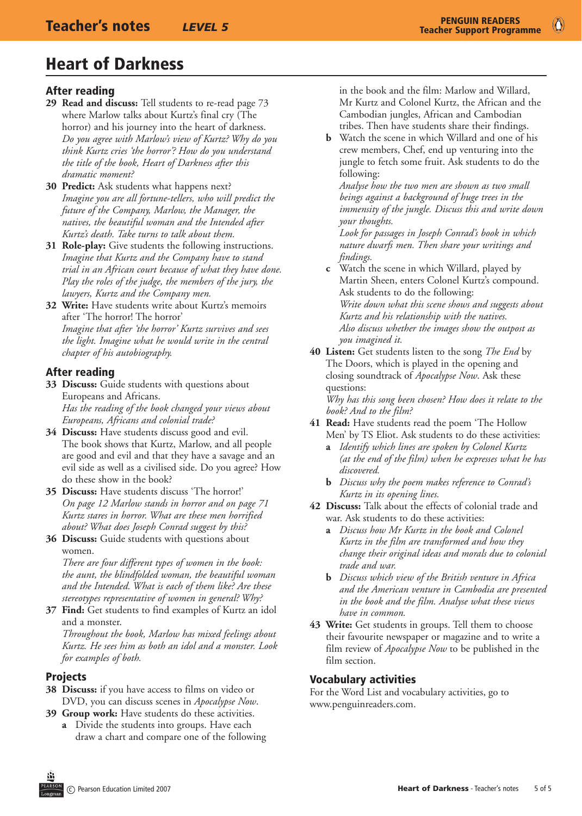#### After reading

- **29 Read and discuss:** Tell students to re-read page 73 where Marlow talks about Kurtz's final cry (The horror) and his journey into the heart of darkness. *Do you agree with Marlow's view of Kurtz? Why do you think Kurtz cries 'the horror'? How do you understand the title of the book, Heart of Darkness after this dramatic moment?*
- **30 Predict:** Ask students what happens next? *Imagine you are all fortune-tellers, who will predict the future of the Company, Marlow, the Manager, the natives, the beautiful woman and the Intended after Kurtz's death. Take turns to talk about them.*
- **31 Role-play:** Give students the following instructions. *Imagine that Kurtz and the Company have to stand trial in an African court because of what they have done. Play the roles of the judge, the members of the jury, the lawyers, Kurtz and the Company men.*
- **32 Write:** Have students write about Kurtz's memoirs after 'The horror! The horror' *Imagine that after 'the horror' Kurtz survives and sees the light. Imagine what he would write in the central chapter of his autobiography.*

#### After reading

- **33 Discuss:** Guide students with questions about Europeans and Africans. *Has the reading of the book changed your views about Europeans, Africans and colonial trade?*
- **34 Discuss:** Have students discuss good and evil. The book shows that Kurtz, Marlow, and all people are good and evil and that they have a savage and an evil side as well as a civilised side. Do you agree? How do these show in the book?
- **35 Discuss:** Have students discuss 'The horror!' *On page 12 Marlow stands in horror and on page 71 Kurtz stares in horror. What are these men horrified about? What does Joseph Conrad suggest by this?*
- **36 Discuss:** Guide students with questions about women.

*There are four different types of women in the book: the aunt, the blindfolded woman, the beautiful woman and the Intended. What is each of them like? Are these stereotypes representative of women in general? Why?*

**37 Find:** Get students to find examples of Kurtz an idol and a monster.

*Throughout the book, Marlow has mixed feelings about Kurtz. He sees him as both an idol and a monster. Look for examples of both.*

#### **Projects**

- **38 Discuss:** if you have access to films on video or DVD, you can discuss scenes in *Apocalypse Now*.
- **39 Group work:** Have students do these activities.
	- **a** Divide the students into groups. Have each draw a chart and compare one of the following

in the book and the film: Marlow and Willard, Mr Kurtz and Colonel Kurtz, the African and the Cambodian jungles, African and Cambodian tribes. Then have students share their findings.

**b** Watch the scene in which Willard and one of his crew members, Chef, end up venturing into the jungle to fetch some fruit. Ask students to do the following:

*Analyse how the two men are shown as two small beings against a background of huge trees in the immensity of the jungle. Discuss this and write down your thoughts.* 

*Look for passages in Joseph Conrad's book in which nature dwarfs men. Then share your writings and findings.*

- **c** Watch the scene in which Willard, played by Martin Sheen, enters Colonel Kurtz's compound. Ask students to do the following: *Write down what this scene shows and suggests about Kurtz and his relationship with the natives. Also discuss whether the images show the outpost as you imagined it.*
- **40 Listen:** Get students listen to the song *The End* by The Doors, which is played in the opening and closing soundtrack of *Apocalypse Now*. Ask these questions:

*Why has this song been chosen? How does it relate to the book? And to the film?*

- **41 Read:** Have students read the poem 'The Hollow Men' by TS Eliot. Ask students to do these activities:
	- **a** *Identify which lines are spoken by Colonel Kurtz (at the end of the film) when he expresses what he has discovered.*
	- **b** *Discuss why the poem makes reference to Conrad's Kurtz in its opening lines.*
- **42 Discuss:** Talk about the effects of colonial trade and war. Ask students to do these activities:
	- **a** *Discuss how Mr Kurtz in the book and Colonel Kurtz in the film are transformed and how they change their original ideas and morals due to colonial trade and war.*
	- **b** *Discuss which view of the British venture in Africa and the American venture in Cambodia are presented in the book and the film. Analyse what these views have in common.*
- **43 Write:** Get students in groups. Tell them to choose their favourite newspaper or magazine and to write a film review of *Apocalypse Now* to be published in the film section.

#### Vocabulary activities

For the Word List and vocabulary activities, go to www.penguinreaders.com.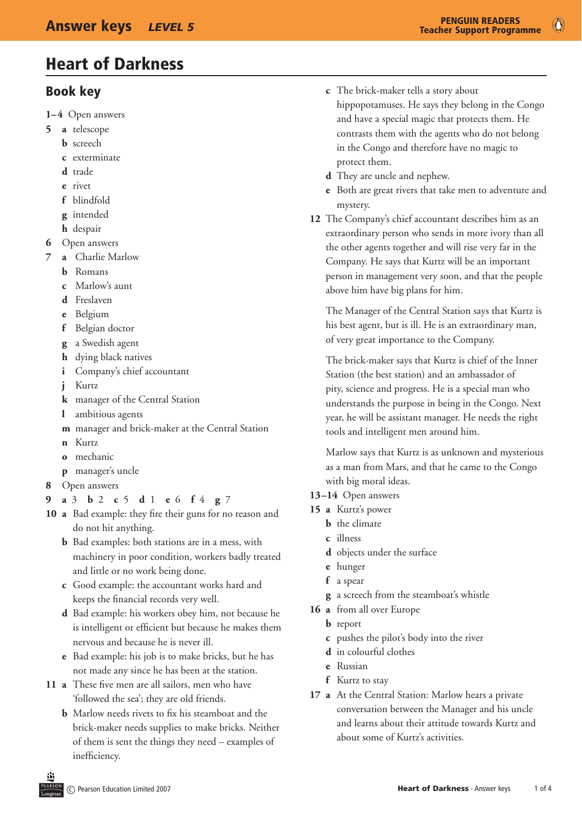### Book key

- **1–4** Open answers
- **5 a** telescope
	- **b** screech
	- **c** exterminate
	- **d** trade
	- **e** rivet
	- **f** blindfold
	- **g** intended
	- **h** despair
- **6** Open answers
- **7 a** Charlie Marlow
	- **b** Romans
	- **c** Marlow's aunt
	- **d** Freslaven
	- **e** Belgium
	- **f** Belgian doctor
	- **g** a Swedish agent
	- **h** dying black natives
	- **i** Company's chief accountant
	- *i* Kurtz
	- **k** manager of the Central Station
	- **l** ambitious agents
	- **m** manager and brick-maker at the Central Station
	- **n** Kurtz
	- **o** mechanic
	- **p** manager's uncle
- **8** Open answers
- **9 a** 3 **b** 2 **c** 5 **d** 1 **e** 6 **f** 4 **g** 7
- **10 a** Bad example: they fire their guns for no reason and do not hit anything.
	- **b** Bad examples: both stations are in a mess, with machinery in poor condition, workers badly treated and little or no work being done.
	- **c** Good example: the accountant works hard and keeps the financial records very well.
	- **d** Bad example: his workers obey him, not because he is intelligent or efficient but because he makes them nervous and because he is never ill.
	- **e** Bad example: his job is to make bricks, but he has not made any since he has been at the station.
- 11 **a** These five men are all sailors, men who have 'followed the sea'; they are old friends.
	- **b** Marlow needs rivets to fix his steamboat and the brick-maker needs supplies to make bricks. Neither of them is sent the things they need – examples of inefficiency.
- **c** The brick-maker tells a story about hippopotamuses. He says they belong in the Congo and have a special magic that protects them. He contrasts them with the agents who do not belong in the Congo and therefore have no magic to
- **d** They are uncle and nephew.

protect them.

- **e** Both are great rivers that take men to adventure and mystery.
- **12** The Company's chief accountant describes him as an extraordinary person who sends in more ivory than all the other agents together and will rise very far in the Company. He says that Kurtz will be an important person in management very soon, and that the people above him have big plans for him.

The Manager of the Central Station says that Kurtz is his best agent, but is ill. He is an extraordinary man, of very great importance to the Company.

The brick-maker says that Kurtz is chief of the Inner Station (the best station) and an ambassador of pity, science and progress. He is a special man who understands the purpose in being in the Congo. Next year, he will be assistant manager. He needs the right tools and intelligent men around him.

Marlow says that Kurtz is as unknown and mysterious as a man from Mars, and that he came to the Congo with big moral ideas.

- **13–14** Open answers
- **15 a** Kurtz's power
	- **b** the climate
	- **c** illness
	- **d** objects under the surface
	- **e** hunger
	- **f** a spear
	- **g** a screech from the steamboat's whistle
- **16 a** from all over Europe
	- **b** report
	- **c** pushes the pilot's body into the river
	- **d** in colourful clothes
	- **e** Russian
	- **f** Kurtz to stay
- **17 a** At the Central Station: Marlow hears a private conversation between the Manager and his uncle and learns about their attitude towards Kurtz and about some of Kurtz's activities.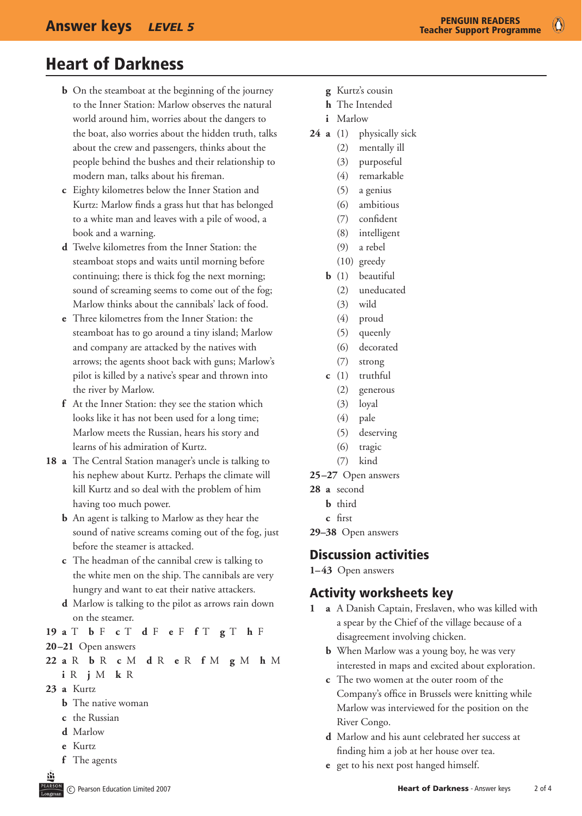$\circ$ 

## Heart of Darkness

- **b** On the steamboat at the beginning of the journey to the Inner Station: Marlow observes the natural world around him, worries about the dangers to the boat, also worries about the hidden truth, talks about the crew and passengers, thinks about the people behind the bushes and their relationship to modern man, talks about his fireman.
- **c** Eighty kilometres below the Inner Station and Kurtz: Marlow finds a grass hut that has belonged to a white man and leaves with a pile of wood, a book and a warning.
- **d** Twelve kilometres from the Inner Station: the steamboat stops and waits until morning before continuing; there is thick fog the next morning; sound of screaming seems to come out of the fog; Marlow thinks about the cannibals' lack of food.
- **e** Three kilometres from the Inner Station: the steamboat has to go around a tiny island; Marlow and company are attacked by the natives with arrows; the agents shoot back with guns; Marlow's pilot is killed by a native's spear and thrown into the river by Marlow.
- **f** At the Inner Station: they see the station which looks like it has not been used for a long time; Marlow meets the Russian, hears his story and learns of his admiration of Kurtz.
- **18 a** The Central Station manager's uncle is talking to his nephew about Kurtz. Perhaps the climate will kill Kurtz and so deal with the problem of him having too much power.
	- **b** An agent is talking to Marlow as they hear the sound of native screams coming out of the fog, just before the steamer is attacked.
	- **c** The headman of the cannibal crew is talking to the white men on the ship. The cannibals are very hungry and want to eat their native attackers.
	- **d** Marlow is talking to the pilot as arrows rain down on the steamer.
- **19 a** T **b** F **c** T **d** F **e** F **f** T **g** T **h** F **20–21** Open answers
- **22 a** R **b** R **c** M **d** R **e** R **f** M **g** M **h** M
	- **i** R **j** M **k** R
- **23 a** Kurtz
	- **b** The native woman
	- **c** the Russian
	- **d** Marlow
	- **e** Kurtz
	- **f** The agents
- **g** Kurtz's cousin
- **h** The Intended
- **i** Marlow
- **24 a** (1) physically sick
	- (2) mentally ill
	- (3) purposeful
	- (4) remarkable
	- (5) a genius
	- (6) ambitious
	- (7) confident
	- (8) intelligent
	- (9) a rebel
	- (10) greedy
	- **b** (1) beautiful
		- (2) uneducated
		- (3) wild
		- (4) proud
		- (5) queenly
		- (6) decorated
		- (7) strong
	- **c** (1) truthful
	- (2) generous
	- (3) loyal
	- (4) pale
	- (5) deserving
	- (6) tragic
	- (7) kind
- **25–27** Open answers
- **28 a** second
	- **b** third
	- **c** first
- **29–38** Open answers

### Discussion activities

**1–43** Open answers

### Activity worksheets key

- **1 a** A Danish Captain, Freslaven, who was killed with a spear by the Chief of the village because of a disagreement involving chicken.
	- **b** When Marlow was a young boy, he was very interested in maps and excited about exploration.
	- **c** The two women at the outer room of the Company's office in Brussels were knitting while Marlow was interviewed for the position on the River Congo.
	- **d** Marlow and his aunt celebrated her success at finding him a job at her house over tea.
	- **e** get to his next post hanged himself.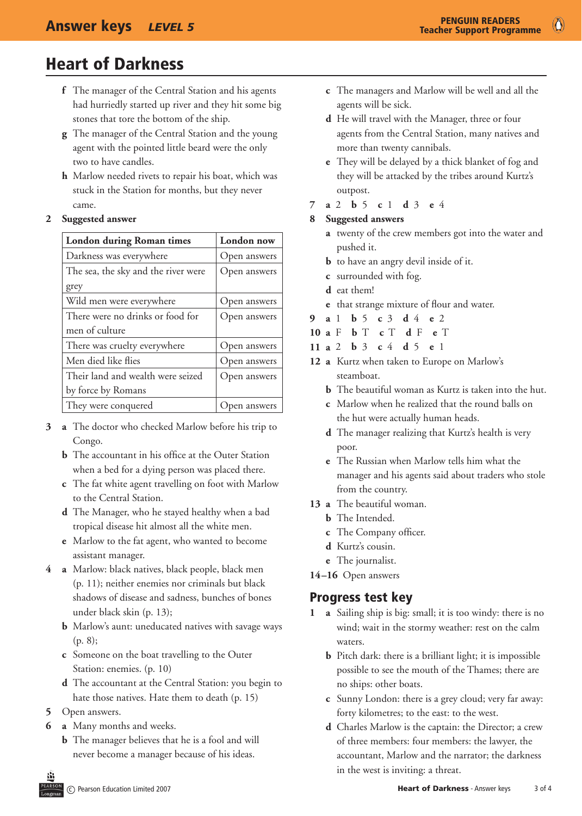$\bullet$ 

## Heart of Darkness

- **f** The manager of the Central Station and his agents had hurriedly started up river and they hit some big stones that tore the bottom of the ship.
- **g** The manager of the Central Station and the young agent with the pointed little beard were the only two to have candles.
- **h** Marlow needed rivets to repair his boat, which was stuck in the Station for months, but they never came.

#### **2 Suggested answer**

| <b>London during Roman times</b>    | London now   |
|-------------------------------------|--------------|
| Darkness was everywhere             | Open answers |
| The sea, the sky and the river were | Open answers |
| grey                                |              |
| Wild men were everywhere            | Open answers |
| There were no drinks or food for    | Open answers |
| men of culture                      |              |
| There was cruelty everywhere        | Open answers |
| Men died like flies                 | Open answers |
| Their land and wealth were seized   | Open answers |
| by force by Romans                  |              |
| They were conquered                 | Open answers |

- **3 a** The doctor who checked Marlow before his trip to Congo.
	- **b** The accountant in his office at the Outer Station when a bed for a dying person was placed there.
	- **c** The fat white agent travelling on foot with Marlow to the Central Station.
	- **d** The Manager, who he stayed healthy when a bad tropical disease hit almost all the white men.
	- **e** Marlow to the fat agent, who wanted to become assistant manager.
- **4 a** Marlow: black natives, black people, black men (p. 11); neither enemies nor criminals but black shadows of disease and sadness, bunches of bones under black skin (p. 13);
	- **b** Marlow's aunt: uneducated natives with savage ways (p. 8);
	- **c** Someone on the boat travelling to the Outer Station: enemies. (p. 10)
	- **d** The accountant at the Central Station: you begin to hate those natives. Hate them to death (p. 15)
- **5** Open answers.
- **6 a** Many months and weeks.
	- **b** The manager believes that he is a fool and will never become a manager because of his ideas.
- **c** The managers and Marlow will be well and all the agents will be sick.
- **d** He will travel with the Manager, three or four agents from the Central Station, many natives and more than twenty cannibals.
- **e** They will be delayed by a thick blanket of fog and they will be attacked by the tribes around Kurtz's outpost.
- **7 a** 2 **b** 5 **c** 1 **d** 3 **e** 4

#### **8 Suggested answers**

- **a** twenty of the crew members got into the water and pushed it.
- **b** to have an angry devil inside of it.
- **c** surrounded with fog.
- **d** eat them!
- **e** that strange mixture of flour and water.
- **9 a** 1 **b** 5 **c** 3 **d** 4 **e** 2
- **10 a** F **b** T **c** T **d** F **e** T
- **11 a** 2 **b** 3 **c** 4 **d** 5 **e** 1
- **12 a** Kurtz when taken to Europe on Marlow's steamboat.
	- **h** The beautiful woman as Kurtz is taken into the hut.
	- **c** Marlow when he realized that the round balls on the hut were actually human heads.
	- **d** The manager realizing that Kurtz's health is very poor.
	- **e** The Russian when Marlow tells him what the manager and his agents said about traders who stole from the country.
- **13 a** The beautiful woman.
	- **b** The Intended.
	- **c** The Company officer.
	- **d** Kurtz's cousin.
	- **e** The journalist.
- **14–16** Open answers

### Progress test key

- **1 a** Sailing ship is big: small; it is too windy: there is no wind; wait in the stormy weather: rest on the calm waters.
	- **b** Pitch dark: there is a brilliant light; it is impossible possible to see the mouth of the Thames; there are no ships: other boats.
	- **c** Sunny London: there is a grey cloud; very far away: forty kilometres; to the east: to the west.
	- **d** Charles Marlow is the captain: the Director; a crew of three members: four members: the lawyer, the accountant, Marlow and the narrator; the darkness in the west is inviting: a threat.